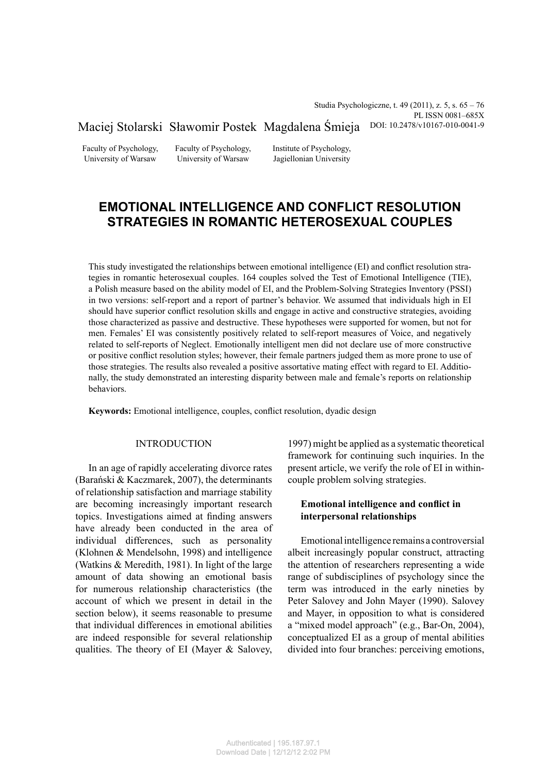Studia Psychologiczne, t. 49 (2011), z. 5, s. 65 – 76 PL ISSN 0081–685X Maciej Stolarski Sławomir Postek Magdalena Śmieja DOI: 10.2478/v10167-010-0041-9

Faculty of Psychology, University of Warsaw

Faculty of Psychology, University of Warsaw

Institute of Psychology, Jagiellonian University

# **EMOTIONAL INTELLIGENCE AND CONFLICT RESOLUTION STRATEGIES IN ROMANTIC HETEROSEXUAL COUPLES**

This study investigated the relationships between emotional intelligence (EI) and conflict resolution strategies in romantic heterosexual couples. 164 couples solved the Test of Emotional Intelligence (TIE), a Polish measure based on the ability model of EI, and the Problem-Solving Strategies Inventory (PSSI) in two versions: self-report and a report of partner's behavior. We assumed that individuals high in EI should have superior conflict resolution skills and engage in active and constructive strategies, avoiding those characterized as passive and destructive. These hypotheses were supported for women, but not for men. Females' EI was consistently positively related to self-report measures of Voice, and negatively related to self-reports of Neglect. Emotionally intelligent men did not declare use of more constructive or positive conflict resolution styles; however, their female partners judged them as more prone to use of those strategies. The results also revealed a positive assortative mating effect with regard to EI. Additionally, the study demonstrated an interesting disparity between male and female's reports on relationship behaviors.

Keywords: Emotional intelligence, couples, conflict resolution, dyadic design

## INTRODUCTION

In an age of rapidly accelerating divorce rates (Barański & Kaczmarek, 2007), the determinants of relationship satisfaction and marriage stability are becoming increasingly important research topics. Investigations aimed at finding answers have already been conducted in the area of individual differences, such as personality (Klohnen & Mendelsohn, 1998) and intelligence (Watkins & Meredith, 1981). In light of the large amount of data showing an emotional basis for numerous relationship characteristics (the account of which we present in detail in the section below), it seems reasonable to presume that individual differences in emotional abilities are indeed responsible for several relationship qualities. The theory of EI (Mayer & Salovey, 1997) might be applied as a systematic theoretical framework for continuing such inquiries. In the present article, we verify the role of EI in withincouple problem solving strategies.

## **Emotional intelligence and conflict in interpersonal relationships**

Emotional intelligence remains a controversial albeit increasingly popular construct, attracting the attention of researchers representing a wide range of subdisciplines of psychology since the term was introduced in the early nineties by Peter Salovey and John Mayer (1990). Salovey and Mayer, in opposition to what is considered a "mixed model approach" (e.g., Bar-On, 2004), conceptualized EI as a group of mental abilities divided into four branches: perceiving emotions,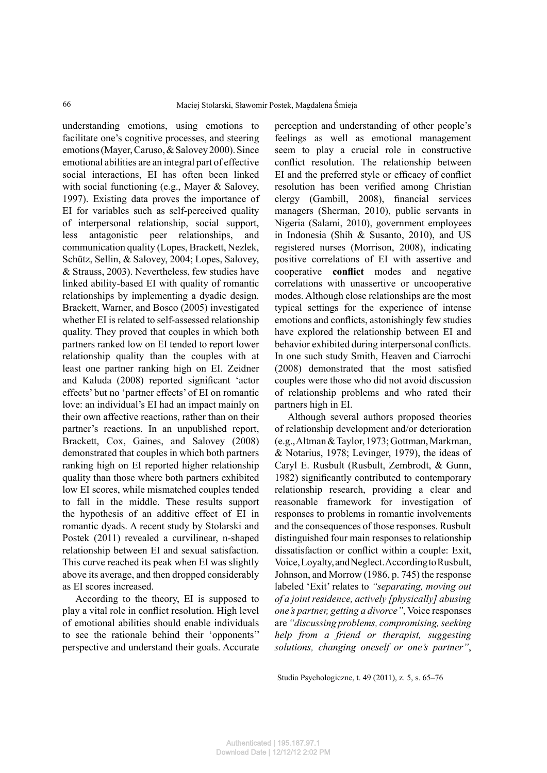understanding emotions, using emotions to facilitate one's cognitive processes, and steering emotions (Mayer, Caruso, & Salovey 2000). Since emotional abilities are an integral part of effective social interactions, EI has often been linked with social functioning (e.g., Mayer & Salovey, 1997). Existing data proves the importance of EI for variables such as self-perceived quality of interpersonal relationship, social support, less antagonistic peer relationships, and communication quality (Lopes, Brackett, Nezlek, Schütz, Sellin, & Salovey, 2004; Lopes, Salovey, & Strauss, 2003). Nevertheless, few studies have linked ability-based EI with quality of romantic relationships by implementing a dyadic design. Brackett, Warner, and Bosco (2005) investigated whether EI is related to self-assessed relationship quality. They proved that couples in which both partners ranked low on EI tended to report lower relationship quality than the couples with at least one partner ranking high on EI. Zeidner and Kaluda (2008) reported significant 'actor effects' but no 'partner effects' of EI on romantic love: an individual's EI had an impact mainly on their own affective reactions, rather than on their partner's reactions. In an unpublished report, Brackett, Cox, Gaines, and Salovey (2008) demonstrated that couples in which both partners ranking high on EI reported higher relationship quality than those where both partners exhibited low EI scores, while mismatched couples tended to fall in the middle. These results support the hypothesis of an additive effect of EI in romantic dyads. A recent study by Stolarski and Postek (2011) revealed a curvilinear, n-shaped relationship between EI and sexual satisfaction. This curve reached its peak when EI was slightly above its average, and then dropped considerably as EI scores increased.

According to the theory, EI is supposed to play a vital role in conflict resolution. High level of emotional abilities should enable individuals to see the rationale behind their 'opponents'' perspective and understand their goals. Accurate perception and understanding of other people's feelings as well as emotional management seem to play a crucial role in constructive conflict resolution. The relationship between EI and the preferred style or efficacy of conflict resolution has been verified among Christian clergy (Gambill, 2008), financial services managers (Sherman, 2010), public servants in Nigeria (Salami, 2010), government employees in Indonesia (Shih & Susanto, 2010), and US registered nurses (Morrison, 2008), indicating positive correlations of EI with assertive and cooperative **conflict** modes and negative correlations with unassertive or uncooperative modes. Although close relationships are the most typical settings for the experience of intense emotions and conflicts, astonishingly few studies have explored the relationship between EI and behavior exhibited during interpersonal conflicts. In one such study Smith, Heaven and Ciarrochi  $(2008)$  demonstrated that the most satisfied couples were those who did not avoid discussion of relationship problems and who rated their partners high in EI.

Although several authors proposed theories of relationship development and/or deterioration (e.g., Altman & Taylor, 1973; Gottman, Markman, & Notarius, 1978; Levinger, 1979), the ideas of Caryl E. Rusbult (Rusbult, Zembrodt, & Gunn, 1982) significantly contributed to contemporary relationship research, providing a clear and reasonable framework for investigation of responses to problems in romantic involvements and the consequences of those responses. Rusbult distinguished four main responses to relationship dissatisfaction or conflict within a couple: Exit, Voice, Loyalty, and Neglect. According to Rusbult, Johnson, and Morrow (1986, p. 745) the response labeled 'Exit' relates to *"separating, moving out of a joint residence, actively [physically] abusing one's partner, getting a divorce"*, Voice responses are *"discussing problems, compromising, seeking help from a friend or therapist, suggesting solutions, changing oneself or one's partner"*,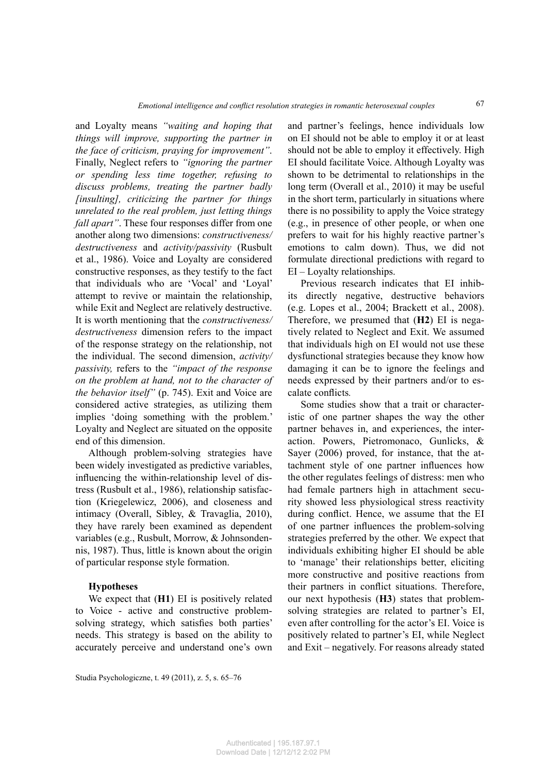and Loyalty means *"waiting and hoping that things will improve, supporting the partner in the face of criticism, praying for improvement"*. Finally, Neglect refers to *"ignoring the partner or spending less time together, refusing to discuss problems, treating the partner badly [insulting], criticizing the partner for things unrelated to the real problem, just letting things fall apart"*. These four responses differ from one another along two dimensions: *constructiveness/ destructiveness* and *activity/passivity* (Rusbult et al., 1986). Voice and Loyalty are considered constructive responses, as they testify to the fact that individuals who are 'Vocal' and 'Loyal' attempt to revive or maintain the relationship, while Exit and Neglect are relatively destructive. It is worth mentioning that the *constructiveness/ destructiveness* dimension refers to the impact of the response strategy on the relationship, not the individual. The second dimension, *activity/ passivity,* refers to the *"impact of the response on the problem at hand, not to the character of the behavior itself"* (p. 745). Exit and Voice are considered active strategies, as utilizing them implies 'doing something with the problem.' Loyalty and Neglect are situated on the opposite end of this dimension.

Although problem-solving strategies have been widely investigated as predictive variables, influencing the within-relationship level of distress (Rusbult et al., 1986), relationship satisfaction (Kriegelewicz, 2006), and closeness and intimacy (Overall, Sibley, & Travaglia, 2010), they have rarely been examined as dependent variables (e.g., Rusbult, Morrow, & Johnsondennis, 1987). Thus, little is known about the origin of particular response style formation.

#### **Hypotheses**

We expect that (**H1**) EI is positively related to Voice - active and constructive problemsolving strategy, which satisfies both parties' needs. This strategy is based on the ability to accurately perceive and understand one's own

and partner's feelings, hence individuals low on EI should not be able to employ it or at least should not be able to employ it effectively. High EI should facilitate Voice. Although Loyalty was shown to be detrimental to relationships in the long term (Overall et al., 2010) it may be useful in the short term, particularly in situations where there is no possibility to apply the Voice strategy (e.g., in presence of other people, or when one prefers to wait for his highly reactive partner's emotions to calm down). Thus, we did not formulate directional predictions with regard to EI – Loyalty relationships.

67

Previous research indicates that EI inhibits directly negative, destructive behaviors (e.g. Lopes et al., 2004; Brackett et al., 2008). Therefore, we presumed that (**H2**) EI is negatively related to Neglect and Exit. We assumed that individuals high on EI would not use these dysfunctional strategies because they know how damaging it can be to ignore the feelings and needs expressed by their partners and/or to escalate conflicts.

Some studies show that a trait or characteristic of one partner shapes the way the other partner behaves in, and experiences, the interaction. Powers, Pietromonaco, Gunlicks, & Sayer (2006) proved, for instance, that the attachment style of one partner influences how the other regulates feelings of distress: men who had female partners high in attachment security showed less physiological stress reactivity during conflict. Hence, we assume that the EI of one partner influences the problem-solving strategies preferred by the other*.* We expect that individuals exhibiting higher EI should be able to 'manage' their relationships better, eliciting more constructive and positive reactions from their partners in conflict situations. Therefore, our next hypothesis (**H3**) states that problemsolving strategies are related to partner's EI, even after controlling for the actor's EI. Voice is positively related to partner's EI, while Neglect and Exit – negatively. For reasons already stated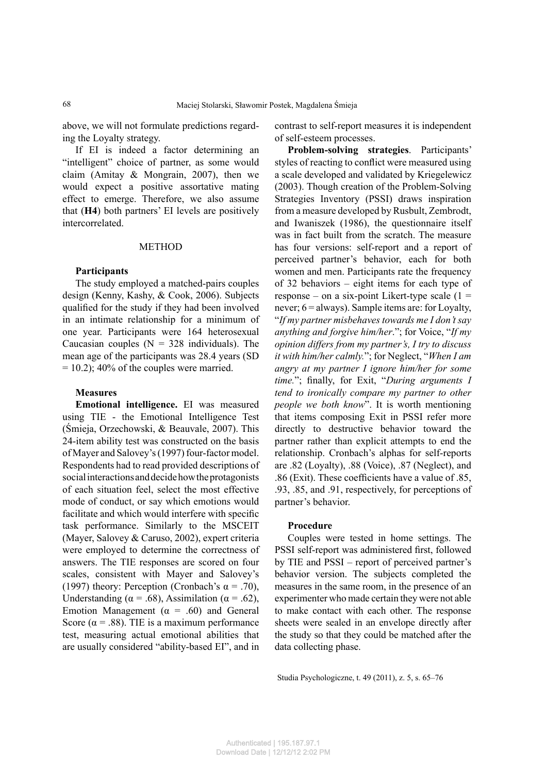above, we will not formulate predictions regarding the Loyalty strategy.

If EI is indeed a factor determining an "intelligent" choice of partner, as some would claim (Amitay & Mongrain, 2007), then we would expect a positive assortative mating effect to emerge. Therefore, we also assume that (**H4**) both partners' EI levels are positively intercorrelated.

#### METHOD

### **Participants**

The study employed a matched-pairs couples design (Kenny, Kashy, & Cook, 2006). Subjects qualified for the study if they had been involved in an intimate relationship for a minimum of one year. Participants were 164 heterosexual Caucasian couples  $(N = 328$  individuals). The mean age of the participants was 28.4 years (SD  $= 10.2$ ); 40% of the couples were married.

#### **Measures**

**Emotional intelligence.** EI was measured using TIE - the Emotional Intelligence Test (Śmieja, Orzechowski, & Beauvale, 2007). This 24-item ability test was constructed on the basis of Mayer and Salovey's (1997) four-factor model. Respondents had to read provided descriptions of social interactions and decide how the protagonists of each situation feel, select the most effective mode of conduct, or say which emotions would facilitate and which would interfere with specific task performance. Similarly to the MSCEIT (Mayer, Salovey & Caruso, 2002), expert criteria were employed to determine the correctness of answers. The TIE responses are scored on four scales, consistent with Mayer and Salovey's (1997) theory: Perception (Cronbach's  $\alpha$  = .70), Understanding ( $\alpha$  = .68), Assimilation ( $\alpha$  = .62), Emotion Management ( $\alpha$  = .60) and General Score ( $\alpha$  = .88). TIE is a maximum performance test, measuring actual emotional abilities that are usually considered "ability-based EI", and in

contrast to self-report measures it is independent of self-esteem processes.

**Problem-solving strategies**. Participants' styles of reacting to conflict were measured using a scale developed and validated by Kriegelewicz (2003). Though creation of the Problem-Solving Strategies Inventory (PSSI) draws inspiration from a measure developed by Rusbult, Zembrodt, and Iwaniszek (1986), the questionnaire itself was in fact built from the scratch. The measure has four versions: self-report and a report of perceived partner's behavior, each for both women and men. Participants rate the frequency of 32 behaviors – eight items for each type of response – on a six-point Likert-type scale  $(1 =$ never;  $6 =$  always). Sample items are: for Loyalty, "*If my partner misbehaves towards me I don't say anything and forgive him/her*."; for Voice, "*If my opinion differs from my partner's, I try to discuss it with him/her calmly.*"; for Neglect, "*When I am angry at my partner I ignore him/her for some time.*"; finally, for Exit, "During arguments I *tend to ironically compare my partner to other people we both know*". It is worth mentioning that items composing Exit in PSSI refer more directly to destructive behavior toward the partner rather than explicit attempts to end the relationship. Cronbach's alphas for self-reports are .82 (Loyalty), .88 (Voice), .87 (Neglect), and .86 (Exit). These coefficients have a value of .85, .93, .85, and .91, respectively, for perceptions of partner's behavior.

#### **Procedure**

Couples were tested in home settings. The PSSI self-report was administered first, followed by TIE and PSSI – report of perceived partner's behavior version. The subjects completed the measures in the same room, in the presence of an experimenter who made certain they were not able to make contact with each other. The response sheets were sealed in an envelope directly after the study so that they could be matched after the data collecting phase.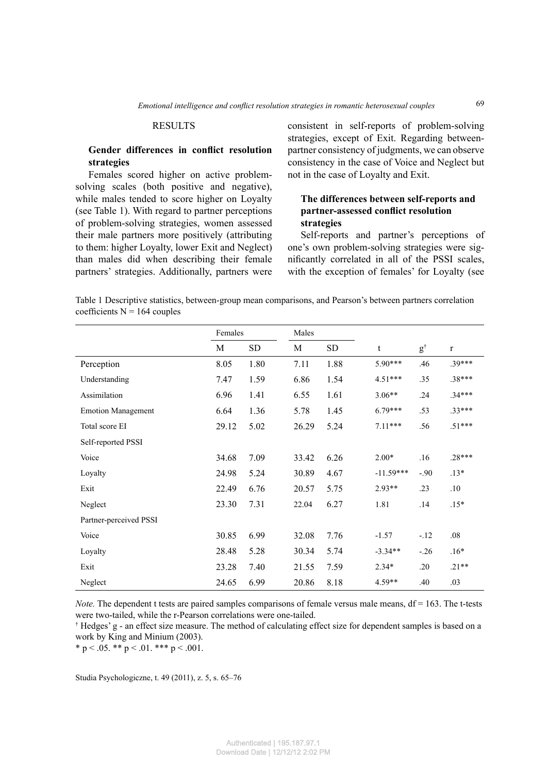### RESULTS

## **Gender differences in conflict resolution strategies**

Females scored higher on active problemsolving scales (both positive and negative), while males tended to score higher on Loyalty (see Table 1). With regard to partner perceptions of problem-solving strategies, women assessed their male partners more positively (attributing to them: higher Loyalty, lower Exit and Neglect) than males did when describing their female partners' strategies. Additionally, partners were consistent in self-reports of problem-solving strategies, except of Exit. Regarding betweenpartner consistency of judgments, we can observe consistency in the case of Voice and Neglect but not in the case of Loyalty and Exit.

# **The differences between self-reports and partner-assessed conflict resolution strategies**

Self-reports and partner's perceptions of one's own problem-solving strategies were significantly correlated in all of the PSSI scales, with the exception of females' for Loyalty (see

Table 1 Descriptive statistics, between-group mean comparisons, and Pearson's between partners correlation coefficients  $N = 164$  couples

|                           | Females |      | Males |      |             |               |             |
|---------------------------|---------|------|-------|------|-------------|---------------|-------------|
|                           | M       | SD   | M     | SD.  | t           | $g^{\dagger}$ | $\mathbf r$ |
| Perception                | 8.05    | 1.80 | 7.11  | 1.88 | $5.90***$   | .46           | $.39***$    |
| Understanding             | 7.47    | 1.59 | 6.86  | 1.54 | $4.51***$   | .35           | .38***      |
| Assimilation              | 6.96    | 1.41 | 6.55  | 1.61 | $3.06**$    | .24           | $.34***$    |
| <b>Emotion Management</b> | 6.64    | 1.36 | 5.78  | 1.45 | $6.79***$   | .53           | $.33***$    |
| Total score EI            | 29.12   | 5.02 | 26.29 | 5.24 | $7.11***$   | .56           | $.51***$    |
| Self-reported PSSI        |         |      |       |      |             |               |             |
| Voice                     | 34.68   | 7.09 | 33.42 | 6.26 | $2.00*$     | .16           | $.28***$    |
| Loyalty                   | 24.98   | 5.24 | 30.89 | 4.67 | $-11.59***$ | $-.90$        | $.13*$      |
| Exit                      | 22.49   | 6.76 | 20.57 | 5.75 | $2.93**$    | .23           | .10         |
| Neglect                   | 23.30   | 7.31 | 22.04 | 6.27 | 1.81        | .14           | $.15*$      |
| Partner-perceived PSSI    |         |      |       |      |             |               |             |
| Voice                     | 30.85   | 6.99 | 32.08 | 7.76 | $-1.57$     | $-.12$        | .08         |
| Loyalty                   | 28.48   | 5.28 | 30.34 | 5.74 | $-3.34**$   | $-.26$        | $.16*$      |
| Exit                      | 23.28   | 7.40 | 21.55 | 7.59 | $2.34*$     | .20           | $.21**$     |
| Neglect                   | 24.65   | 6.99 | 20.86 | 8.18 | $4.59**$    | .40           | .03         |

*Note.* The dependent t tests are paired samples comparisons of female versus male means,  $df = 163$ . The t-tests were two-tailed, while the r-Pearson correlations were one-tailed.

† Hedges' g - an effect size measure. The method of calculating effect size for dependent samples is based on a work by King and Minium (2003).

\* p < .05. \*\* p < .01. \*\*\* p < .001.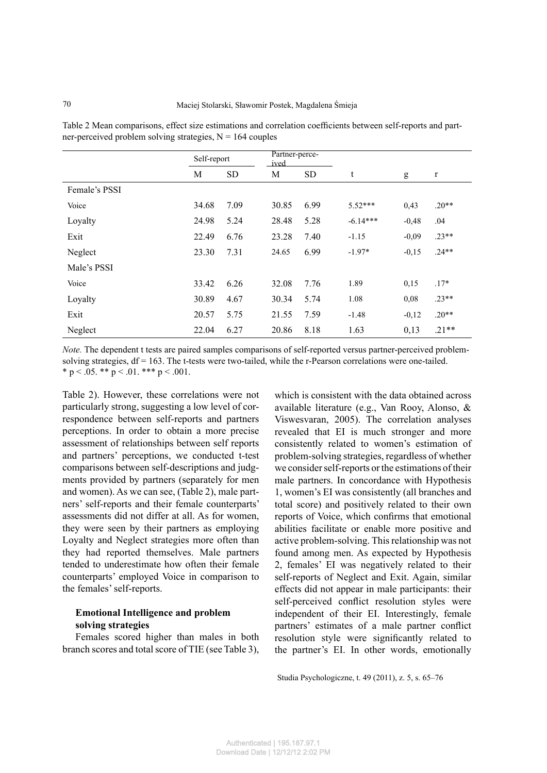Table 2 Mean comparisons, effect size estimations and correlation coefficients between self-reports and partner-perceived problem solving strategies,  $N = 164$  couples

|               | Self-report |           | Partner-perce-<br>ived |           |            |         |             |
|---------------|-------------|-----------|------------------------|-----------|------------|---------|-------------|
|               | M           | <b>SD</b> | М                      | <b>SD</b> | t          | g       | $\mathbf r$ |
| Female's PSSI |             |           |                        |           |            |         |             |
| Voice         | 34.68       | 7.09      | 30.85                  | 6.99      | $5.52***$  | 0,43    | $.20**$     |
| Loyalty       | 24.98       | 5.24      | 28.48                  | 5.28      | $-6.14***$ | $-0,48$ | .04         |
| Exit          | 22.49       | 6.76      | 23.28                  | 7.40      | $-1.15$    | $-0.09$ | $.23**$     |
| Neglect       | 23.30       | 7.31      | 24.65                  | 6.99      | $-1.97*$   | $-0,15$ | $.24**$     |
| Male's PSSI   |             |           |                        |           |            |         |             |
| Voice         | 33.42       | 6.26      | 32.08                  | 7.76      | 1.89       | 0,15    | $.17*$      |
| Loyalty       | 30.89       | 4.67      | 30.34                  | 5.74      | 1.08       | 0,08    | $.23**$     |
| Exit          | 20.57       | 5.75      | 21.55                  | 7.59      | $-1.48$    | $-0,12$ | $.20**$     |
| Neglect       | 22.04       | 6.27      | 20.86                  | 8.18      | 1.63       | 0,13    | $.21**$     |

*Note.* The dependent t tests are paired samples comparisons of self-reported versus partner-perceived problemsolving strategies,  $df = 163$ . The t-tests were two-tailed, while the r-Pearson correlations were one-tailed. \* p < .05. \*\* p < .01. \*\*\* p < .001.

Table 2). However, these correlations were not particularly strong, suggesting a low level of correspondence between self-reports and partners perceptions. In order to obtain a more precise assessment of relationships between self reports and partners' perceptions, we conducted t-test comparisons between self-descriptions and judgments provided by partners (separately for men and women). As we can see, (Table 2), male partners' self-reports and their female counterparts' assessments did not differ at all. As for women, they were seen by their partners as employing Loyalty and Neglect strategies more often than they had reported themselves. Male partners tended to underestimate how often their female counterparts' employed Voice in comparison to the females' self-reports.

## **Emotional Intelligence and problem solving strategies**

Females scored higher than males in both branch scores and total score of TIE (see Table 3),

which is consistent with the data obtained across available literature (e.g., Van Rooy, Alonso, & Viswesvaran, 2005). The correlation analyses revealed that EI is much stronger and more consistently related to women's estimation of problem-solving strategies, regardless of whether we consider self-reports or the estimations of their male partners. In concordance with Hypothesis 1, women's EI was consistently (all branches and total score) and positively related to their own reports of Voice, which confirms that emotional abilities facilitate or enable more positive and active problem-solving. This relationship was not found among men. As expected by Hypothesis 2, females' EI was negatively related to their self-reports of Neglect and Exit. Again, similar effects did not appear in male participants: their self-perceived conflict resolution styles were independent of their EI. Interestingly, female partners' estimates of a male partner conflict resolution style were significantly related to the partner's EI. In other words, emotionally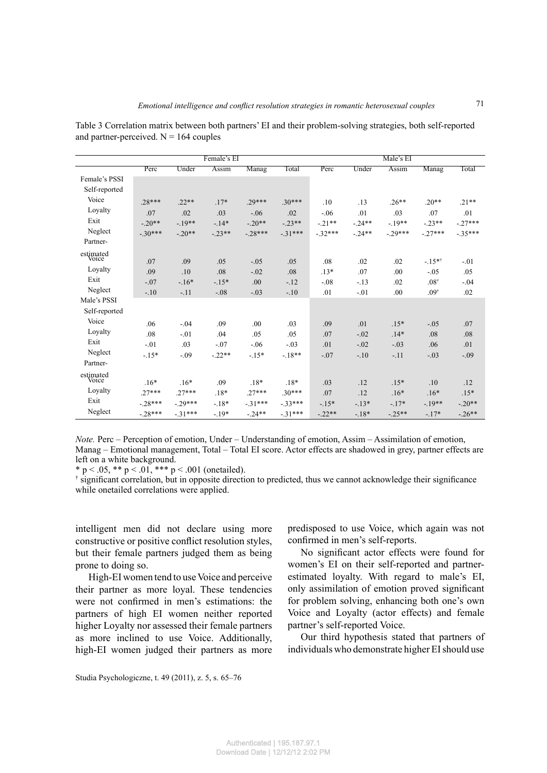|                    | Female's EI |          |          |           | Male's EI |           |          |          |                 |           |
|--------------------|-------------|----------|----------|-----------|-----------|-----------|----------|----------|-----------------|-----------|
|                    | Perc        | Under    | Assim    | Manag     | Total     | Perc      | Under    | Assim    | Manag           | Total     |
| Female's PSSI      |             |          |          |           |           |           |          |          |                 |           |
| Self-reported      |             |          |          |           |           |           |          |          |                 |           |
| Voice              | $.28***$    | $.22**$  | $.17*$   | $.29***$  | $.30***$  | .10       | .13      | $.26**$  | $.20**$         | $.21**$   |
| Loyalty            | .07         | .02      | .03      | $-.06$    | .02       | $-.06$    | .01      | .03      | .07             | .01       |
| Exit               | $-20**$     | $-19**$  | $-.14*$  | $-.20**$  | $-23**$   | $-.21**$  | $-24**$  | $-19**$  | $-23**$         | $-.27***$ |
| Neglect            | $-.30***$   | $-20**$  | $-23**$  | $-28***$  | $-31***$  | $-.32***$ | $-.24**$ | $-29***$ | $-27***$        | $-35***$  |
| Partner-           |             |          |          |           |           |           |          |          |                 |           |
| estimated          |             |          |          |           |           |           |          |          |                 |           |
| Voice              | .07         | .09      | .05      | $-.05$    | .05       | .08       | .02      | .02      | $-15**$         | $-.01$    |
| Loyalty            | .09         | .10      | .08      | $-.02$    | .08       | $.13*$    | .07      | .00      | $-.05$          | .05       |
| Exit               | $-.07$      | $-.16*$  | $-.15*$  | .00       | $-.12$    | $-.08$    | $-.13$   | .02      | $.08^{\dagger}$ | $-.04$    |
| Neglect            | $-.10$      | $-.11$   | $-.08$   | $-.03$    | $-.10$    | .01       | $-.01$   | .00      | $.09^{\dagger}$ | .02       |
| Male's PSSI        |             |          |          |           |           |           |          |          |                 |           |
| Self-reported      |             |          |          |           |           |           |          |          |                 |           |
| Voice              | .06         | $-.04$   | .09      | .00       | .03       | .09       | .01      | $.15*$   | $-.05$          | .07       |
| Loyalty            | .08         | $-.01$   | .04      | .05       | .05       | .07       | $-.02$   | $.14*$   | .08             | .08       |
| Exit               | $-.01$      | .03      | $-.07$   | $-.06$    | $-.03$    | .01       | $-.02$   | $-.03$   | .06             | .01       |
| Neglect            | $-.15*$     | $-.09$   | $-.22**$ | $-.15*$   | $-18**$   | $-.07$    | $-.10$   | $-11$    | $-.03$          | $-.09$    |
| Partner-           |             |          |          |           |           |           |          |          |                 |           |
| estimated<br>Voice |             |          |          |           |           |           |          |          |                 |           |
|                    | $.16*$      | $.16*$   | .09      | $.18*$    | $.18*$    | .03       | .12      | $.15*$   | .10             | .12       |
| Loyalty<br>Exit    | $27***$     | $27***$  | $.18*$   | $.27***$  | $30***$   | .07       | .12      | $.16*$   | $.16*$          | $.15*$    |
|                    | $-.28***$   | $-29***$ | $-.18*$  | $-31***$  | $-33***$  | $-.15*$   | $-.13*$  | $-.17*$  | $-19**$         | $-.20**$  |
| Neglect            | $-28***$    | $-31***$ | $-.19*$  | $-0.24**$ | $-31***$  | $-22**$   | $-.18*$  | $-.25**$ | $-.17*$         | $-26**$   |

Table 3 Correlation matrix between both partners' EI and their problem-solving strategies, both self-reported and partner-perceived.  $N = 164$  couples

*Note.* Perc – Perception of emotion, Under – Understanding of emotion, Assim – Assimilation of emotion, Manag – Emotional management, Total – Total EI score. Actor effects are shadowed in grey, partner effects are left on a white background.

\* p < .05, \*\* p < .01, \*\*\* p < .001 (onetailed).

<sup>†</sup> significant correlation, but in opposite direction to predicted, thus we cannot acknowledge their significance while onetailed correlations were applied.

intelligent men did not declare using more constructive or positive conflict resolution styles, but their female partners judged them as being prone to doing so.

High-EI women tend to use Voice and perceive their partner as more loyal. These tendencies were not confirmed in men's estimations: the partners of high EI women neither reported higher Loyalty nor assessed their female partners as more inclined to use Voice. Additionally, high-EI women judged their partners as more predisposed to use Voice, which again was not confirmed in men's self-reports.

No significant actor effects were found for women's EI on their self-reported and partnerestimated loyalty. With regard to male's EI, only assimilation of emotion proved significant for problem solving, enhancing both one's own Voice and Loyalty (actor effects) and female partner's self-reported Voice.

Our third hypothesis stated that partners of individuals who demonstrate higher EI should use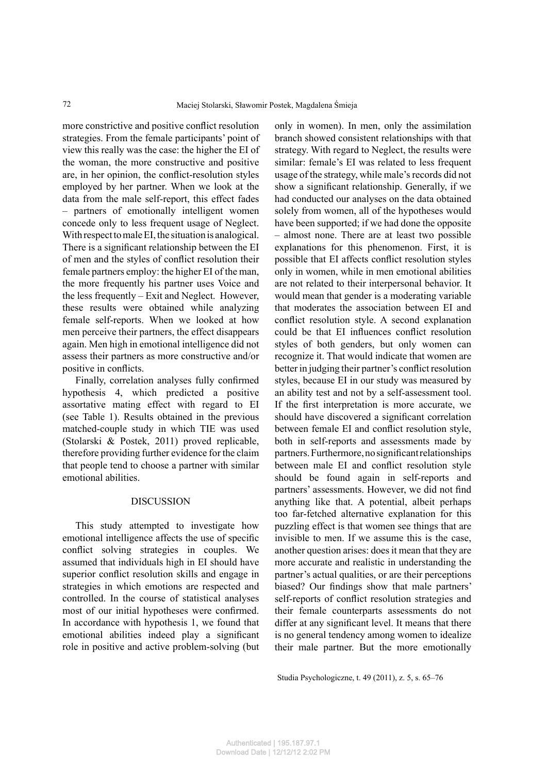more constrictive and positive conflict resolution strategies. From the female participants' point of view this really was the case: the higher the EI of the woman, the more constructive and positive are, in her opinion, the conflict-resolution styles employed by her partner. When we look at the data from the male self-report, this effect fades – partners of emotionally intelligent women concede only to less frequent usage of Neglect. With respect to male EI, the situation is analogical. There is a significant relationship between the EI of men and the styles of conflict resolution their female partners employ: the higher EI of the man, the more frequently his partner uses Voice and the less frequently – Exit and Neglect. However, these results were obtained while analyzing female self-reports. When we looked at how men perceive their partners, the effect disappears again. Men high in emotional intelligence did not assess their partners as more constructive and/or positive in conflicts.

Finally, correlation analyses fully confirmed hypothesis 4, which predicted a positive assortative mating effect with regard to EI (see Table 1). Results obtained in the previous matched-couple study in which TIE was used (Stolarski & Postek, 2011) proved replicable, therefore providing further evidence for the claim that people tend to choose a partner with similar emotional abilities.

### **DISCUSSION**

This study attempted to investigate how emotional intelligence affects the use of specific conflict solving strategies in couples. We assumed that individuals high in EI should have superior conflict resolution skills and engage in strategies in which emotions are respected and controlled. In the course of statistical analyses most of our initial hypotheses were confirmed. In accordance with hypothesis 1, we found that emotional abilities indeed play a significant role in positive and active problem-solving (but

only in women). In men, only the assimilation branch showed consistent relationships with that strategy. With regard to Neglect, the results were similar: female's EI was related to less frequent usage of the strategy, while male's records did not show a significant relationship. Generally, if we had conducted our analyses on the data obtained solely from women, all of the hypotheses would have been supported; if we had done the opposite – almost none. There are at least two possible explanations for this phenomenon. First, it is possible that EI affects conflict resolution styles only in women, while in men emotional abilities are not related to their interpersonal behavior. It would mean that gender is a moderating variable that moderates the association between EI and conflict resolution style. A second explanation could be that EI influences conflict resolution styles of both genders, but only women can recognize it. That would indicate that women are better in judging their partner's conflict resolution styles, because EI in our study was measured by an ability test and not by a self-assessment tool. If the first interpretation is more accurate, we should have discovered a significant correlation between female EI and conflict resolution style, both in self-reports and assessments made by partners. Furthermore, no significant relationships between male EI and conflict resolution style should be found again in self-reports and partners' assessments. However, we did not find anything like that. A potential, albeit perhaps too far-fetched alternative explanation for this puzzling effect is that women see things that are invisible to men. If we assume this is the case, another question arises: does it mean that they are more accurate and realistic in understanding the partner's actual qualities, or are their perceptions biased? Our findings show that male partners' self-reports of conflict resolution strategies and their female counterparts assessments do not differ at any significant level. It means that there is no general tendency among women to idealize their male partner. But the more emotionally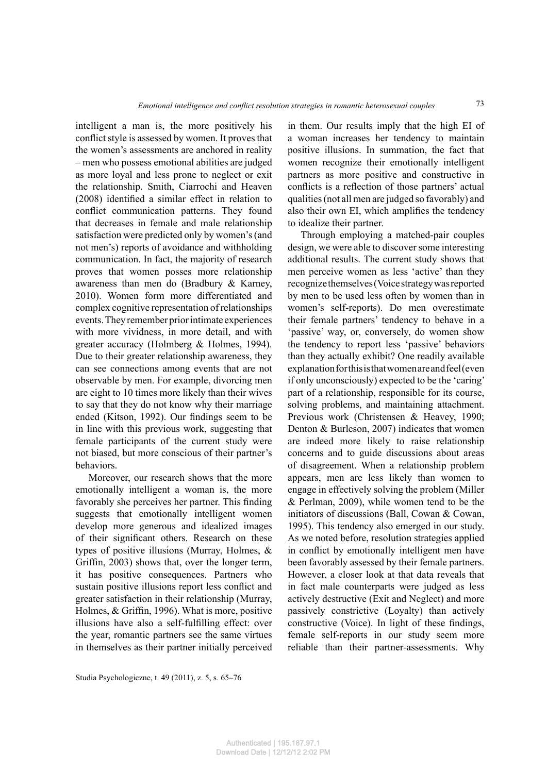intelligent a man is, the more positively his conflict style is assessed by women. It proves that the women's assessments are anchored in reality – men who possess emotional abilities are judged as more loyal and less prone to neglect or exit the relationship. Smith, Ciarrochi and Heaven  $(2008)$  identified a similar effect in relation to conflict communication patterns. They found that decreases in female and male relationship satisfaction were predicted only by women's (and not men's) reports of avoidance and withholding communication. In fact, the majority of research proves that women posses more relationship awareness than men do (Bradbury & Karney, 2010). Women form more differentiated and complex cognitive representation of relationships events. They remember prior intimate experiences with more vividness, in more detail, and with greater accuracy (Holmberg & Holmes, 1994). Due to their greater relationship awareness, they can see connections among events that are not observable by men. For example, divorcing men are eight to 10 times more likely than their wives to say that they do not know why their marriage ended (Kitson, 1992). Our findings seem to be in line with this previous work, suggesting that female participants of the current study were not biased, but more conscious of their partner's behaviors.

Moreover, our research shows that the more emotionally intelligent a woman is, the more favorably she perceives her partner. This finding suggests that emotionally intelligent women develop more generous and idealized images of their significant others. Research on these types of positive illusions (Murray, Holmes, & Griffin, 2003) shows that, over the longer term, it has positive consequences. Partners who sustain positive illusions report less conflict and greater satisfaction in their relationship (Murray, Holmes,  $&$  Griffin, 1996). What is more, positive illusions have also a self-fulfilling effect: over the year, romantic partners see the same virtues in themselves as their partner initially perceived

in them. Our results imply that the high EI of a woman increases her tendency to maintain positive illusions. In summation, the fact that women recognize their emotionally intelligent partners as more positive and constructive in conflicts is a reflection of those partners' actual qualities (not all men are judged so favorably) and also their own EI, which amplifies the tendency to idealize their partner.

73

Through employing a matched-pair couples design, we were able to discover some interesting additional results. The current study shows that men perceive women as less 'active' than they recognize themselves (Voice strategy was reported by men to be used less often by women than in women's self-reports). Do men overestimate 'passive' way, or, conversely, do women show in fact male counterparts were judged as less actively destructive (Exit and Neglect) and more passively constrictive (Loyalty) than actively constructive (Voice). In light of these findings, female self-reports in our study seem more reliable than their partner-assessments. Why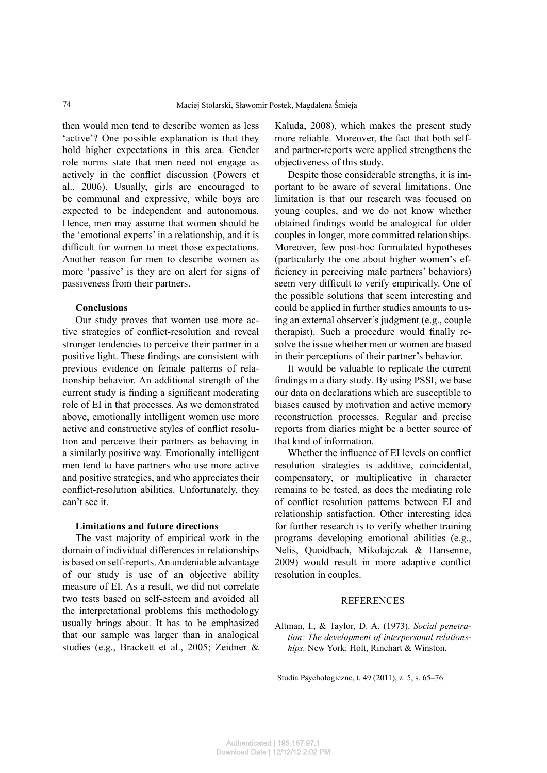then would men tend to describe women as less 'active'? One possible explanation is that they hold higher expectations in this area. Gender role norms state that men need not engage as actively in the conflict discussion (Powers et al., 2006). Usually, girls are encouraged to be communal and expressive, while boys are expected to be independent and autonomous. Hence, men may assume that women should be the 'emotional experts' in a relationship, and it is difficult for women to meet those expectations. Another reason for men to describe women as more 'passive' is they are on alert for signs of passiveness from their partners.

#### **Conclusions**

Our study proves that women use more active strategies of conflict-resolution and reveal stronger tendencies to perceive their partner in a positive light. These findings are consistent with previous evidence on female patterns of relationship behavior. An additional strength of the current study is finding a significant moderating role of EI in that processes. As we demonstrated above, emotionally intelligent women use more active and constructive styles of conflict resolution and perceive their partners as behaving in a similarly positive way. Emotionally intelligent men tend to have partners who use more active and positive strategies, and who appreciates their conflict-resolution abilities. Unfortunately, they can't see it.

#### **Limitations and future directions**

The vast majority of empirical work in the domain of individual differences in relationships is based on self-reports. An undeniable advantage of our study is use of an objective ability measure of EI. As a result, we did not correlate two tests based on self-esteem and avoided all the interpretational problems this methodology usually brings about. It has to be emphasized that our sample was larger than in analogical studies (e.g., Brackett et al., 2005; Zeidner &

Kaluda, 2008), which makes the present study more reliable. Moreover, the fact that both selfand partner-reports were applied strengthens the objectiveness of this study.

Despite those considerable strengths, it is important to be aware of several limitations. One limitation is that our research was focused on young couples, and we do not know whether obtained findings would be analogical for older couples in longer, more committed relationships. Moreover, few post-hoc formulated hypotheses (particularly the one about higher women's efficiency in perceiving male partners' behaviors) seem very difficult to verify empirically. One of the possible solutions that seem interesting and could be applied in further studies amounts to using an external observer's judgment (e.g., couple therapist). Such a procedure would finally resolve the issue whether men or women are biased in their perceptions of their partner's behavior.

It would be valuable to replicate the current findings in a diary study. By using PSSI, we base our data on declarations which are susceptible to biases caused by motivation and active memory reconstruction processes. Regular and precise reports from diaries might be a better source of that kind of information.

Whether the influence of EI levels on conflict resolution strategies is additive, coincidental, compensatory, or multiplicative in character remains to be tested, as does the mediating role of conflict resolution patterns between EI and relationship satisfaction. Other interesting idea for further research is to verify whether training programs developing emotional abilities (e.g., Nelis, Quoidbach, Mikolajczak & Hansenne, 2009) would result in more adaptive conflict resolution in couples.

## **REFERENCES**

Altman, I., & Taylor, D. A. (1973). *Social penetration: The development of interpersonal relationships.* New York: Holt, Rinehart & Winston.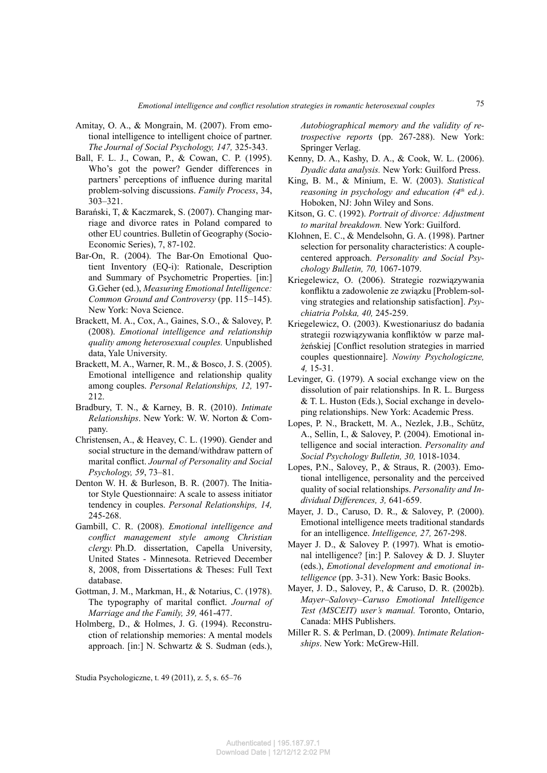- Amitay, O. A., & Mongrain, M. (2007). From emotional intelligence to intelligent choice of partner. *The Journal of Social Psychology, 147,* 325-343.
- Ball, F. L. J., Cowan, P., & Cowan, C. P. (1995). Who's got the power? Gender differences in partners' perceptions of influence during marital problem-solving discussions. *Family Process*, 34, 303–321.
- Barański, T, & Kaczmarek, S. (2007). Changing marriage and divorce rates in Poland compared to other EU countries. Bulletin of Geography (Socio-Economic Series), 7, 87-102.
- Bar-On, R. (2004). The Bar-On Emotional Quotient Inventory (EQ-i): Rationale, Description and Summary of Psychometric Properties. [in:] G.Geher (ed.), *Measuring Emotional Intelligence: Common Ground and Controversy* (pp. 115–145). New York: Nova Science.
- Brackett, M. A., Cox, A., Gaines, S.O., & Salovey, P. (2008). *Emotional intelligence and relationship quality among heterosexual couples.* Unpublished data, Yale University.
- Brackett, M. A., Warner, R. M., & Bosco, J. S. (2005). Emotional intelligence and relationship quality among couples. *Personal Relationships, 12,* 197- 212.
- Bradbury, T. N., & Karney, B. R. (2010). *Intimate Relationships*. New York: W. W. Norton & Company.
- Christensen, A., & Heavey, C. L. (1990). Gender and social structure in the demand/withdraw pattern of marital conflict. Journal of Personality and Social *Psychology, 59*, 73–81.
- Denton W. H. & Burleson, B. R. (2007). The Initiator Style Questionnaire: A scale to assess initiator tendency in couples. *Personal Relationships, 14,* 245-268.
- Gambill, C. R. (2008). *Emotional intelligence and conflict management style among Christian clergy.* Ph.D. dissertation, Capella University, United States - Minnesota. Retrieved December 8, 2008, from Dissertations & Theses: Full Text database.
- Gottman, J. M., Markman, H., & Notarius, C. (1978). The typography of marital conflict. *Journal of Marriage and the Family, 39,* 461-477.
- Holmberg, D., & Holmes, J. G. (1994). Reconstruction of relationship memories: A mental models approach. [in:] N. Schwartz & S. Sudman (eds.),

*Autobiographical memory and the validity of retrospective reports* (pp. 267-288). New York: Springer Verlag.

- Kenny, D. A., Kashy, D. A., & Cook, W. L. (2006). *Dyadic data analysis.* New York: Guilford Press.
- King, B. M., & Minium, E. W. (2003). *Statistical reasoning in psychology and education (4th ed.)*. Hoboken, NJ: John Wiley and Sons.
- Kitson, G. C. (1992). *Portrait of divorce: Adjustment to marital breakdown.* New York: Guilford.
- Klohnen, E. C., & Mendelsohn, G. A. (1998). Partner selection for personality characteristics: A couplecentered approach. *Personality and Social Psychology Bulletin, 70,* 1067-1079.
- Kriegelewicz, O. (2006). Strategie rozwiązywania konfliktu a zadowolenie ze związku [Problem-solving strategies and relationship satisfaction]. *Psychiatria Polska, 40,* 245-259.
- Kriegelewicz, O. (2003). Kwestionariusz do badania strategii rozwiązywania konfliktów w parze małżeńskiej [Conflict resolution strategies in married couples questionnaire]. *Nowiny Psychologiczne, 4,* 15-31.
- Levinger, G. (1979). A social exchange view on the dissolution of pair relationships. In R. L. Burgess & T. L. Huston (Eds.), Social exchange in developing relationships. New York: Academic Press.
- Lopes, P. N., Brackett, M. A., Nezlek, J.B., Schütz, A., Sellin, I., & Salovey, P. (2004). Emotional intelligence and social interaction. *Personality and Social Psychology Bulletin, 30,* 1018-1034.
- Lopes, P.N., Salovey, P., & Straus, R. (2003). Emotional intelligence, personality and the perceived quality of social relationships. *Personality and Individual Differences, 3,* 641-659.
- Mayer, J. D., Caruso, D. R., & Salovey, P. (2000). Emotional intelligence meets traditional standards for an intelligence. *Intelligence, 27,* 267-298.
- Mayer J. D., & Salovey P. (1997). What is emotional intelligence? [in:] P. Salovey & D. J. Sluyter (eds.), *Emotional development and emotional intelligence* (pp. 3-31). New York: Basic Books.
- Mayer, J. D., Salovey, P., & Caruso, D. R. (2002b). *Mayer–Salovey–Caruso Emotional Intelligence Test (MSCEIT) user's manual.* Toronto, Ontario, Canada: MHS Publishers.
- Miller R. S. & Perlman, D. (2009). *Intimate Relationships*. New York: McGrew-Hill.